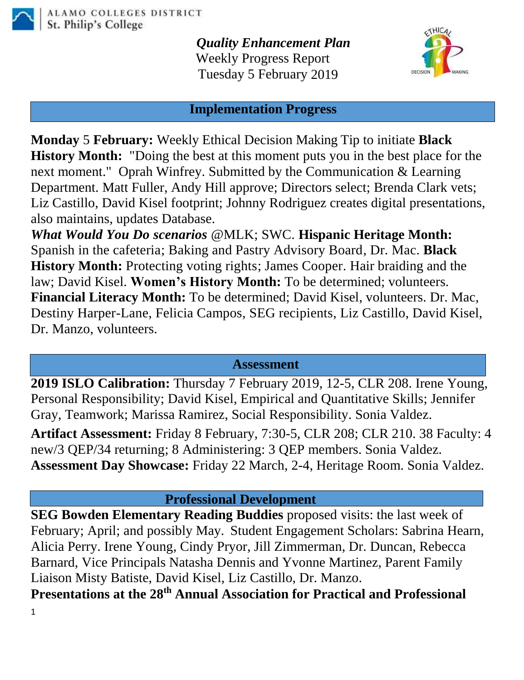

*Quality Enhancement Plan* Weekly Progress Report Tuesday 5 February 2019



## **Implementation Progress**

**Monday** 5 **February:** Weekly Ethical Decision Making Tip to initiate **Black History Month:** "Doing the best at this moment puts you in the best place for the next moment." Oprah Winfrey. Submitted by the Communication & Learning Department. Matt Fuller, Andy Hill approve; Directors select; Brenda Clark vets; Liz Castillo, David Kisel footprint; Johnny Rodriguez creates digital presentations, also maintains, updates Database.

*What Would You Do scenarios* @MLK; SWC. **Hispanic Heritage Month:** Spanish in the cafeteria; Baking and Pastry Advisory Board, Dr. Mac. **Black History Month:** Protecting voting rights; James Cooper. Hair braiding and the law; David Kisel. **Women's History Month:** To be determined; volunteers. **Financial Literacy Month:** To be determined; David Kisel, volunteers. Dr. Mac, Destiny Harper-Lane, Felicia Campos, SEG recipients, Liz Castillo, David Kisel, Dr. Manzo, volunteers.

## **Assessment**

**2019 ISLO Calibration:** Thursday 7 February 2019, 12-5, CLR 208. Irene Young, Personal Responsibility; David Kisel, Empirical and Quantitative Skills; Jennifer Gray, Teamwork; Marissa Ramirez, Social Responsibility. Sonia Valdez.

**Artifact Assessment:** Friday 8 February, 7:30-5, CLR 208; CLR 210. 38 Faculty: 4 new/3 QEP/34 returning; 8 Administering: 3 QEP members. Sonia Valdez. **Assessment Day Showcase:** Friday 22 March, 2-4, Heritage Room. Sonia Valdez.

## **Professional Development**

1 **SEG Bowden Elementary Reading Buddies** proposed visits: the last week of February; April; and possibly May. Student Engagement Scholars: Sabrina Hearn, Alicia Perry. Irene Young, Cindy Pryor, Jill Zimmerman, Dr. Duncan, Rebecca Barnard, Vice Principals Natasha Dennis and Yvonne Martinez, Parent Family Liaison Misty Batiste, David Kisel, Liz Castillo, Dr. Manzo. **Presentations at the 28th Annual Association for Practical and Professional**